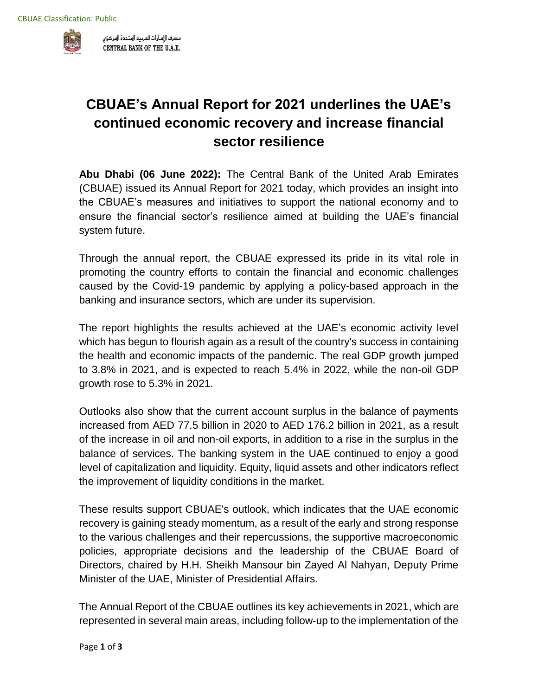

مصرف الإمارات العربية المتحدة المركزى CENTRAL BANK OF THE U.A.E.

## **CBUAE's Annual Report for 2021 underlines the UAE's continued economic recovery and increase financial sector resilience**

**Abu Dhabi (06 June 2022):** The Central Bank of the United Arab Emirates (CBUAE) issued its Annual Report for 2021 today, which provides an insight into the CBUAE's measures and initiatives to support the national economy and to ensure the financial sector's resilience aimed at building the UAE's financial system future.

Through the annual report, the CBUAE expressed its pride in its vital role in promoting the country efforts to contain the financial and economic challenges caused by the Covid-19 pandemic by applying a policy-based approach in the banking and insurance sectors, which are under its supervision.

The report highlights the results achieved at the UAE's economic activity level which has begun to flourish again as a result of the country's success in containing the health and economic impacts of the pandemic. The real GDP growth jumped to 3.8% in 2021, and is expected to reach 5.4% in 2022, while the non-oil GDP growth rose to 5.3% in 2021.

Outlooks also show that the current account surplus in the balance of payments increased from AED 77.5 billion in 2020 to AED 176.2 billion in 2021, as a result of the increase in oil and non-oil exports, in addition to a rise in the surplus in the balance of services. The banking system in the UAE continued to enjoy a good level of capitalization and liquidity. Equity, liquid assets and other indicators reflect the improvement of liquidity conditions in the market.

These results support CBUAE's outlook, which indicates that the UAE economic recovery is gaining steady momentum, as a result of the early and strong response to the various challenges and their repercussions, the supportive macroeconomic policies, appropriate decisions and the leadership of the CBUAE Board of Directors, chaired by H.H. Sheikh Mansour bin Zayed Al Nahyan, Deputy Prime Minister of the UAE, Minister of Presidential Affairs.

The Annual Report of the CBUAE outlines its key achievements in 2021, which are represented in several main areas, including follow-up to the implementation of the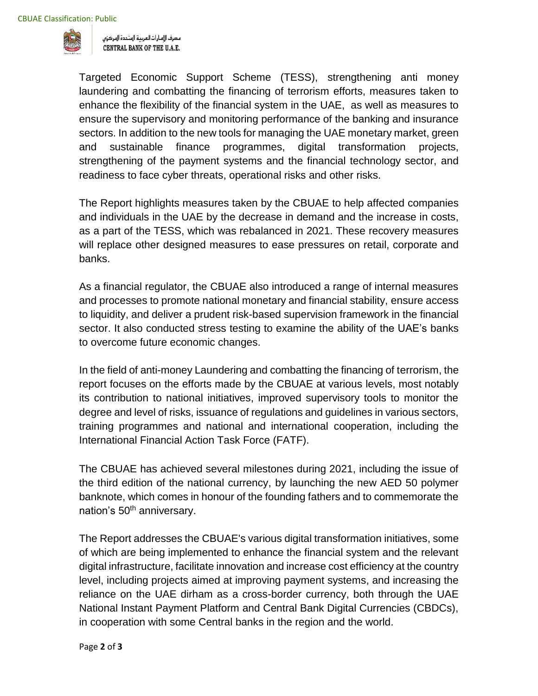

مصرف الإمارات العربية المتحدة المركزي CENTRAL BANK OF THE U.A.E.

Targeted Economic Support Scheme (TESS), strengthening anti money laundering and combatting the financing of terrorism efforts, measures taken to enhance the flexibility of the financial system in the UAE, as well as measures to ensure the supervisory and monitoring performance of the banking and insurance sectors. In addition to the new tools for managing the UAE monetary market, green and sustainable finance programmes, digital transformation projects, strengthening of the payment systems and the financial technology sector, and readiness to face cyber threats, operational risks and other risks.

The Report highlights measures taken by the CBUAE to help affected companies and individuals in the UAE by the decrease in demand and the increase in costs, as a part of the TESS, which was rebalanced in 2021. These recovery measures will replace other designed measures to ease pressures on retail, corporate and banks.

As a financial regulator, the CBUAE also introduced a range of internal measures and processes to promote national monetary and financial stability, ensure access to liquidity, and deliver a prudent risk-based supervision framework in the financial sector. It also conducted stress testing to examine the ability of the UAE's banks to overcome future economic changes.

In the field of anti-money Laundering and combatting the financing of terrorism, the report focuses on the efforts made by the CBUAE at various levels, most notably its contribution to national initiatives, improved supervisory tools to monitor the degree and level of risks, issuance of regulations and guidelines in various sectors, training programmes and national and international cooperation, including the International Financial Action Task Force (FATF).

The CBUAE has achieved several milestones during 2021, including the issue of the third edition of the national currency, by launching the new AED 50 polymer banknote, which comes in honour of the founding fathers and to commemorate the nation's 50<sup>th</sup> anniversary.

The Report addresses the CBUAE's various digital transformation initiatives, some of which are being implemented to enhance the financial system and the relevant digital infrastructure, facilitate innovation and increase cost efficiency at the country level, including projects aimed at improving payment systems, and increasing the reliance on the UAE dirham as a cross-border currency, both through the UAE National Instant Payment Platform and Central Bank Digital Currencies (CBDCs), in cooperation with some Central banks in the region and the world.